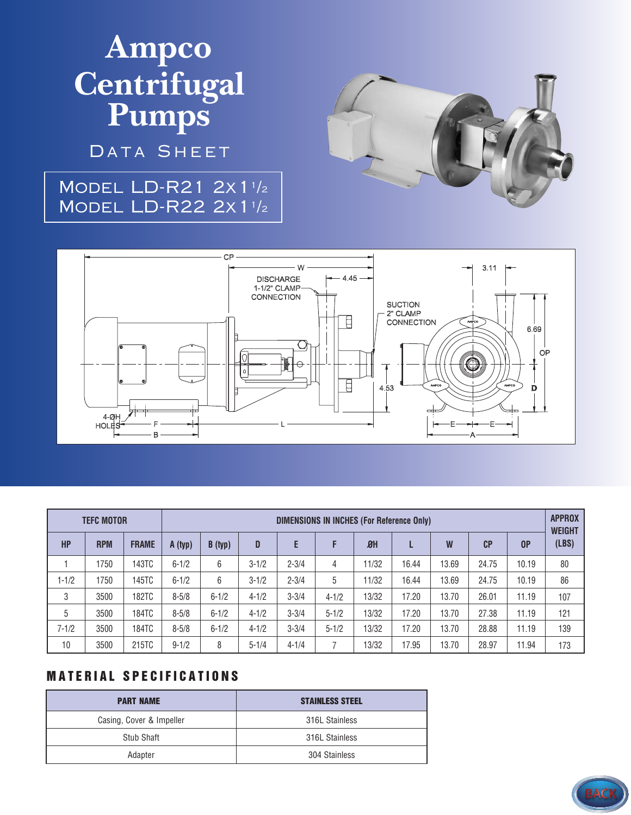# **Ampco Centrifugal Pumps**

DATA SHEET

### Model LD-R21 2x1<sup>1</sup> /2 Model LD-R22 2x1<sup>1</sup> /2





| <b>TEFC MOTOR</b> |            |              | DIMENSIONS IN INCHES (For Reference Only) |           |           |           |           |       |       |       |       |       | <b>APPROX</b><br><b>WEIGHT</b> |
|-------------------|------------|--------------|-------------------------------------------|-----------|-----------|-----------|-----------|-------|-------|-------|-------|-------|--------------------------------|
| <b>HP</b>         | <b>RPM</b> | <b>FRAME</b> | A (typ)                                   | B (typ)   | D         | E         | F         | $B$ H |       | W     | CP    | 0P    | (LBS)                          |
|                   | 1750       | 143TC        | $6 - 1/2$                                 | 6         | $3 - 1/2$ | $2 - 3/4$ | 4         | 11/32 | 16.44 | 13.69 | 24.75 | 10.19 | 80                             |
| $1 - 1/2$         | 1750       | 145TC        | $6 - 1/2$                                 | 6         | $3 - 1/2$ | $2 - 3/4$ | 5         | 11/32 | 16.44 | 13.69 | 24.75 | 10.19 | 86                             |
| 3                 | 3500       | 182TC        | $8 - 5/8$                                 | $6 - 1/2$ | $4 - 1/2$ | $3 - 3/4$ | $4 - 1/2$ | 13/32 | 17.20 | 13.70 | 26.01 | 11.19 | 107                            |
| 5                 | 3500       | 184TC        | $8 - 5/8$                                 | $6 - 1/2$ | $4 - 1/2$ | $3 - 3/4$ | $5 - 1/2$ | 13/32 | 17.20 | 13.70 | 27.38 | 11.19 | 121                            |
| $7 - 1/2$         | 3500       | 184TC        | $8 - 5/8$                                 | $6 - 1/2$ | $4 - 1/2$ | $3 - 3/4$ | $5 - 1/2$ | 13/32 | 17.20 | 13.70 | 28.88 | 11.19 | 139                            |
| 10                | 3500       | 215TC        | $9 - 1/2$                                 | 8         | $5 - 1/4$ | $4 - 1/4$ |           | 13/32 | 17.95 | 13.70 | 28.97 | 11.94 | 173                            |

#### **MATERIAL SPECIFICATIONS**

| <b>PART NAME</b>         | <b>STAINLESS STEEL</b> |
|--------------------------|------------------------|
| Casing, Cover & Impeller | 316L Stainless         |
| Stub Shaft               | 316L Stainless         |
| Adapter                  | 304 Stainless          |